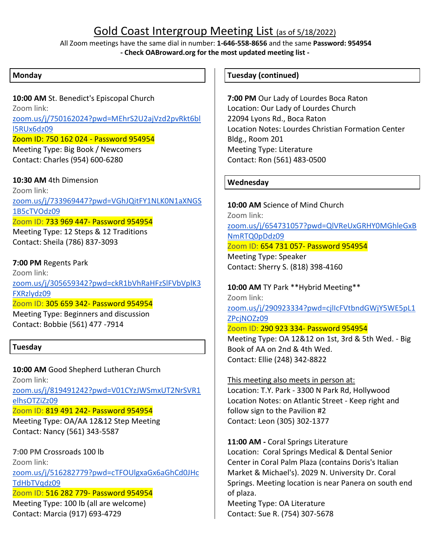# Gold Coast Intergroup Meeting List (as of 5/18/2022)

All Zoom meetings have the same dial in number: **1-646-558-8656** and the same **Password: 954954 - Check OABroward.org for the most updated meeting list -**

## **Monday**

**10:00 AM** St. Benedict's Episcopal Church Zoom link: [zoom.us/j/750162024?pwd=MEhrS2U2ajVzd2pvRkt6bl](https://zoom.us/j/750162024?pwd=MEhrS2U2ajVzd2pvRkt6bll5RUx6dz09%E2%80%8B) [l5RUx6dz09](https://zoom.us/j/750162024?pwd=MEhrS2U2ajVzd2pvRkt6bll5RUx6dz09%E2%80%8B) Zoom ID: 750 162 024 - Password 954954 Meeting Type: Big Book / Newcomers

Contact: Charles (954) 600-6280

**10:30 AM** 4th Dimension Zoom link: [zoom.us/j/733969447?pwd=VGhJQitFY1NLK0N1aXNGS](https://zoom.us/j/733969447?pwd=VGhJQitFY1NLK0N1aXNGS1B5cTVOdz09) [1B5cTVOdz09](https://zoom.us/j/733969447?pwd=VGhJQitFY1NLK0N1aXNGS1B5cTVOdz09) Zoom ID: 733 969 447- Password 954954 Meeting Type: 12 Steps & 12 Traditions

Contact: Sheila (786) 837-3093

**7:00 PM** Regents Park Zoom link: [zoom.us/j/305659342?pwd=ckR1bVhRaHFzSlFVbVplK3](https://zoom.us/j/305659342?pwd=ckR1bVhRaHFzSlFVbVplK3FXRzlydz09) [FXRzlydz09](https://zoom.us/j/305659342?pwd=ckR1bVhRaHFzSlFVbVplK3FXRzlydz09) Zoom ID: 305 659 342- Password 954954 Meeting Type: Beginners and discussion

Contact: Bobbie (561) 477 -7914

# **Tuesday**

**10:00 AM** Good Shepherd Lutheran Church Zoom link: [zoom.us/j/819491242?pwd=V01CYzJWSmxUT2NrSVR1](https://zoom.us/j/819491242?pwd=V01CYzJWSmxUT2NrSVR1elhsOTZiZz09%E2%80%8B) [elhsOTZiZz09](https://zoom.us/j/819491242?pwd=V01CYzJWSmxUT2NrSVR1elhsOTZiZz09%E2%80%8B) Zoom ID: 819 491 242- Password 954954 Meeting Type: OA/AA 12&12 Step Meeting Contact: Nancy (561) 343-5587

**7:00 PM** Crossroads 100 lb Zoom link: [zoom.us/j/516282779?pwd=cTFOUlgxaGx6aGhCd0JHc](https://zoom.us/j/516282779?pwd=cTFOUlgxaGx6aGhCd0JHcTdHbTVqdz09) [TdHbTVqdz09](https://zoom.us/j/516282779?pwd=cTFOUlgxaGx6aGhCd0JHcTdHbTVqdz09) Zoom ID: 516 282 779- Password 954954

Meeting Type: 100 lb (all are welcome) Contact: Marcia (917) 693-4729

# **Tuesday (continued)**

**7:00 PM** Our Lady of Lourdes Boca Raton Location: Our Lady of Lourdes Church 22094 Lyons Rd., Boca Raton Location Notes: Lourdes Christian Formation Center Bldg., Room 201 Meeting Type: Literature Contact: Ron (561) 483-0500

## **Wednesday**

**10:00 AM** Science of Mind Church Zoom link: [zoom.us/j/654731057?pwd=QlVReUxGRHY0MGhleGxB](https://zoom.us/j/654731057?pwd=QlVReUxGRHY0MGhleGxBNmRTQ0pDdz09) [NmRTQ0pDdz09](https://zoom.us/j/654731057?pwd=QlVReUxGRHY0MGhleGxBNmRTQ0pDdz09) Zoom ID: 654 731 057- Password 954954 Meeting Type: Speaker Contact: Sherry S. (818) 398-4160

**10:00 AM** TY Park \*\*Hybrid Meeting\*\* Zoom link: [zoom.us/j/290923334?pwd=cjlIcFVtbndGWjY5WE5pL1](https://zoom.us/j/290923334?pwd=cjlIcFVtbndGWjY5WE5pL1ZPcjNOZz09) [ZPcjNOZz09](https://zoom.us/j/290923334?pwd=cjlIcFVtbndGWjY5WE5pL1ZPcjNOZz09) Zoom ID: 290 923 334- Password 954954

Meeting Type: OA 12&12 on 1st, 3rd & 5th Wed. - Big Book of AA on 2nd & 4th Wed. Contact: Ellie (248) 342-8822

## This meeting also meets in person at:

Location: T.Y. Park - 3300 N Park Rd, Hollywood Location Notes: on Atlantic Street - Keep right and follow sign to the Pavilion #2 Contact: Leon (305) 302-1377

**11:00 AM -** Coral Springs Literature Location: Coral Springs Medical & Dental Senior Center in Coral Palm Plaza (contains Doris's Italian Market & Michael's). 2029 N. University Dr. Coral Springs. Meeting location is near Panera on south end of plaza. Meeting Type: OA Literature

Contact: Sue R. (754) 307-5678